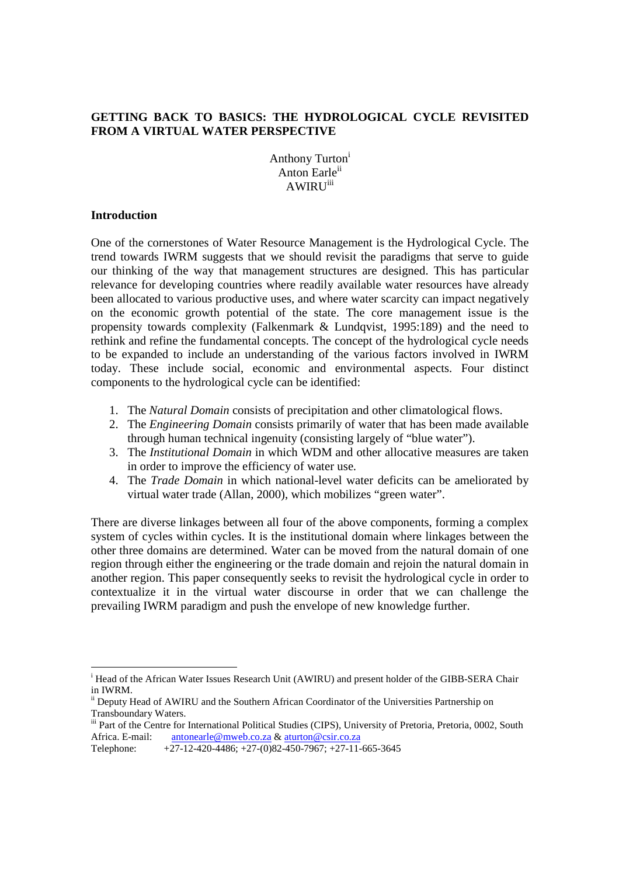# **GETTING BACK TO BASICS: THE HYDROLOGICAL CYCLE REVISITED FROM A VIRTUAL WATER PERSPECTIVE**

Anthony Turton<sup>1</sup> Anton Earle<sup>ii</sup> **AWIRU**<sup>iii</sup>

#### **Introduction**

One of the cornerstones of Water Resource Management is the Hydrological Cycle. The trend towards IWRM suggests that we should revisit the paradigms that serve to guide our thinking of the way that management structures are designed. This has particular relevance for developing countries where readily available water resources have already been allocated to various productive uses, and where water scarcity can impact negatively on the economic growth potential of the state. The core management issue is the propensity towards complexity (Falkenmark & Lundqvist, 1995:189) and the need to rethink and refine the fundamental concepts. The concept of the hydrological cycle needs to be expanded to include an understanding of the various factors involved in IWRM today. These include social, economic and environmental aspects. Four distinct components to the hydrological cycle can be identified:

- 1. The *Natural Domain* consists of precipitation and other climatological flows.
- 2. The *Engineering Domain* consists primarily of water that has been made available through human technical ingenuity (consisting largely of "blue water").
- 3. The *Institutional Domain* in which WDM and other allocative measures are taken in order to improve the efficiency of water use.
- 4. The *Trade Domain* in which national-level water deficits can be ameliorated by virtual water trade (Allan, 2000), which mobilizes "green water".

There are diverse linkages between all four of the above components, forming a complex system of cycles within cycles. It is the institutional domain where linkages between the other three domains are determined. Water can be moved from the natural domain of one region through either the engineering or the trade domain and rejoin the natural domain in another region. This paper consequently seeks to revisit the hydrological cycle in order to contextualize it in the virtual water discourse in order that we can challenge the prevailing IWRM paradigm and push the envelope of new knowledge further.

<sup>&</sup>lt;sup>i</sup> Head of the African Water Issues Research Unit (AWIRU) and present holder of the GIBB-SERA Chair in IWRM.

ii Deputy Head of AWIRU and the Southern African Coordinator of the Universities Partnership on Transboundary Waters.

iii Part of the Centre for International Political Studies (CIPS), University of Pretoria, Pretoria, 0002, South Africa. E-mail:  $\frac{\text{antonearle@mweb.co.za}{27-12-420-4486}$ ; +27-10082-450-7967; +27-11-

 $+27-12-420-4486$ ;  $+27-(0)82-450-7967$ ;  $+27-11-665-3645$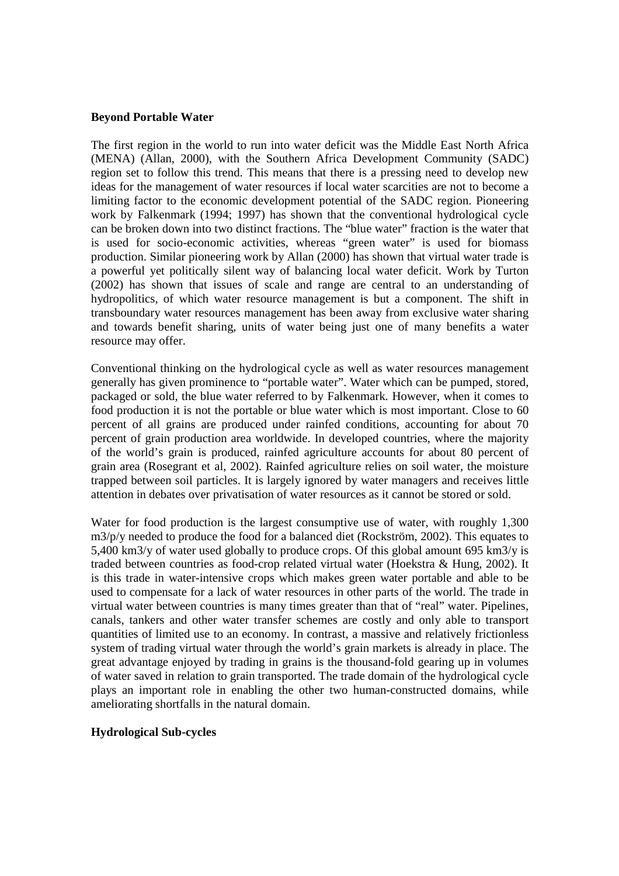### **Beyond Portable Water**

The first region in the world to run into water deficit was the Middle East North Africa (MENA) (Allan, 2000), with the Southern Africa Development Community (SADC) region set to follow this trend. This means that there is a pressing need to develop new ideas for the management of water resources if local water scarcities are not to become a limiting factor to the economic development potential of the SADC region. Pioneering work by Falkenmark (1994; 1997) has shown that the conventional hydrological cycle can be broken down into two distinct fractions. The "blue water" fraction is the water that is used for socio-economic activities, whereas "green water" is used for biomass production. Similar pioneering work by Allan (2000) has shown that virtual water trade is a powerful yet politically silent way of balancing local water deficit. Work by Turton (2002) has shown that issues of scale and range are central to an understanding of hydropolitics, of which water resource management is but a component. The shift in transboundary water resources management has been away from exclusive water sharing and towards benefit sharing, units of water being just one of many benefits a water resource may offer.

Conventional thinking on the hydrological cycle as well as water resources management generally has given prominence to "portable water". Water which can be pumped, stored, packaged or sold, the blue water referred to by Falkenmark. However, when it comes to food production it is not the portable or blue water which is most important. Close to 60 percent of all grains are produced under rainfed conditions, accounting for about 70 percent of grain production area worldwide. In developed countries, where the majority of the world's grain is produced, rainfed agriculture accounts for about 80 percent of grain area (Rosegrant et al, 2002). Rainfed agriculture relies on soil water, the moisture trapped between soil particles. It is largely ignored by water managers and receives little attention in debates over privatisation of water resources as it cannot be stored or sold.

Water for food production is the largest consumptive use of water, with roughly 1,300 m3/p/y needed to produce the food for a balanced diet (Rockström, 2002). This equates to 5,400 km3/y of water used globally to produce crops. Of this global amount 695 km3/y is traded between countries as food-crop related virtual water (Hoekstra & Hung, 2002). It is this trade in water-intensive crops which makes green water portable and able to be used to compensate for a lack of water resources in other parts of the world. The trade in virtual water between countries is many times greater than that of "real" water. Pipelines, canals, tankers and other water transfer schemes are costly and only able to transport quantities of limited use to an economy. In contrast, a massive and relatively frictionless system of trading virtual water through the world's grain markets is already in place. The great advantage enjoyed by trading in grains is the thousand-fold gearing up in volumes of water saved in relation to grain transported. The trade domain of the hydrological cycle plays an important role in enabling the other two human-constructed domains, while ameliorating shortfalls in the natural domain.

### **Hydrological Sub-cycles**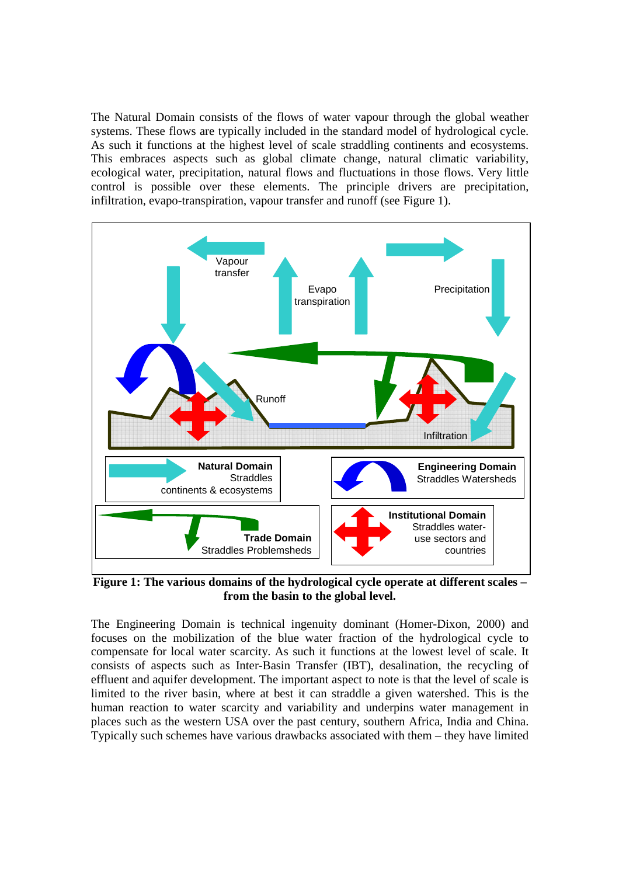The Natural Domain consists of the flows of water vapour through the global weather systems. These flows are typically included in the standard model of hydrological cycle. As such it functions at the highest level of scale straddling continents and ecosystems. This embraces aspects such as global climate change, natural climatic variability, ecological water, precipitation, natural flows and fluctuations in those flows. Very little control is possible over these elements. The principle drivers are precipitation, infiltration, evapo-transpiration, vapour transfer and runoff (see Figure 1).



**Figure 1: The various domains of the hydrological cycle operate at different scales – from the basin to the global level.** 

The Engineering Domain is technical ingenuity dominant (Homer-Dixon, 2000) and focuses on the mobilization of the blue water fraction of the hydrological cycle to compensate for local water scarcity. As such it functions at the lowest level of scale. It consists of aspects such as Inter-Basin Transfer (IBT), desalination, the recycling of effluent and aquifer development. The important aspect to note is that the level of scale is limited to the river basin, where at best it can straddle a given watershed. This is the human reaction to water scarcity and variability and underpins water management in places such as the western USA over the past century, southern Africa, India and China. Typically such schemes have various drawbacks associated with them – they have limited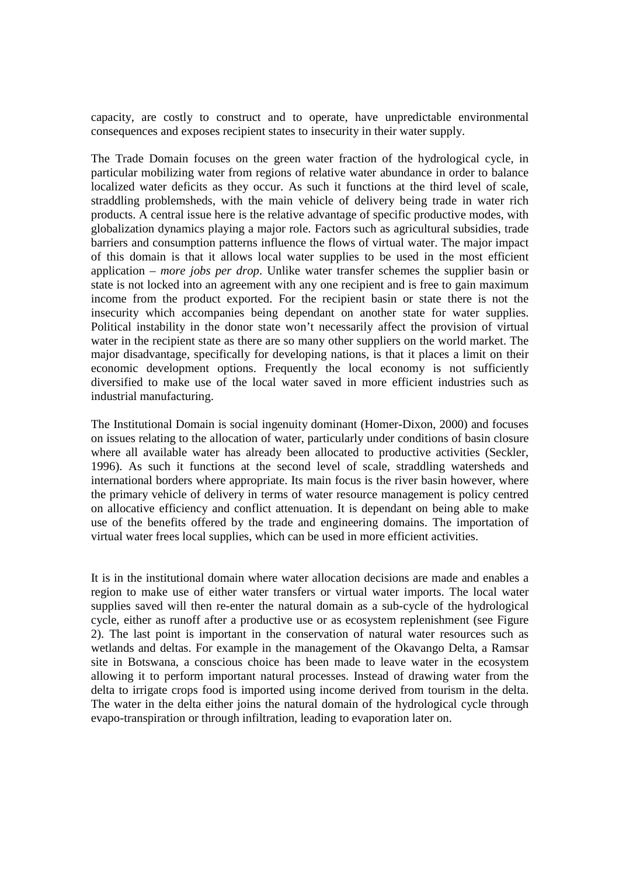capacity, are costly to construct and to operate, have unpredictable environmental consequences and exposes recipient states to insecurity in their water supply.

The Trade Domain focuses on the green water fraction of the hydrological cycle, in particular mobilizing water from regions of relative water abundance in order to balance localized water deficits as they occur. As such it functions at the third level of scale, straddling problemsheds, with the main vehicle of delivery being trade in water rich products. A central issue here is the relative advantage of specific productive modes, with globalization dynamics playing a major role. Factors such as agricultural subsidies, trade barriers and consumption patterns influence the flows of virtual water. The major impact of this domain is that it allows local water supplies to be used in the most efficient application – *more jobs per drop*. Unlike water transfer schemes the supplier basin or state is not locked into an agreement with any one recipient and is free to gain maximum income from the product exported. For the recipient basin or state there is not the insecurity which accompanies being dependant on another state for water supplies. Political instability in the donor state won't necessarily affect the provision of virtual water in the recipient state as there are so many other suppliers on the world market. The major disadvantage, specifically for developing nations, is that it places a limit on their economic development options. Frequently the local economy is not sufficiently diversified to make use of the local water saved in more efficient industries such as industrial manufacturing.

The Institutional Domain is social ingenuity dominant (Homer-Dixon, 2000) and focuses on issues relating to the allocation of water, particularly under conditions of basin closure where all available water has already been allocated to productive activities (Seckler, 1996). As such it functions at the second level of scale, straddling watersheds and international borders where appropriate. Its main focus is the river basin however, where the primary vehicle of delivery in terms of water resource management is policy centred on allocative efficiency and conflict attenuation. It is dependant on being able to make use of the benefits offered by the trade and engineering domains. The importation of virtual water frees local supplies, which can be used in more efficient activities.

It is in the institutional domain where water allocation decisions are made and enables a region to make use of either water transfers or virtual water imports. The local water supplies saved will then re-enter the natural domain as a sub-cycle of the hydrological cycle, either as runoff after a productive use or as ecosystem replenishment (see Figure 2). The last point is important in the conservation of natural water resources such as wetlands and deltas. For example in the management of the Okavango Delta, a Ramsar site in Botswana, a conscious choice has been made to leave water in the ecosystem allowing it to perform important natural processes. Instead of drawing water from the delta to irrigate crops food is imported using income derived from tourism in the delta. The water in the delta either joins the natural domain of the hydrological cycle through evapo-transpiration or through infiltration, leading to evaporation later on.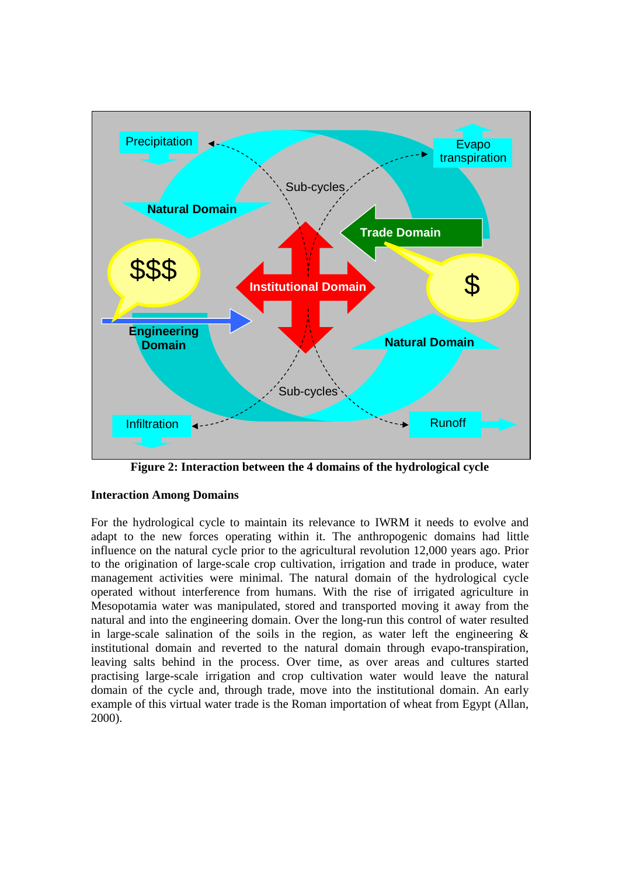

**Figure 2: Interaction between the 4 domains of the hydrological cycle** 

# **Interaction Among Domains**

For the hydrological cycle to maintain its relevance to IWRM it needs to evolve and adapt to the new forces operating within it. The anthropogenic domains had little influence on the natural cycle prior to the agricultural revolution 12,000 years ago. Prior to the origination of large-scale crop cultivation, irrigation and trade in produce, water management activities were minimal. The natural domain of the hydrological cycle operated without interference from humans. With the rise of irrigated agriculture in Mesopotamia water was manipulated, stored and transported moving it away from the natural and into the engineering domain. Over the long-run this control of water resulted in large-scale salination of the soils in the region, as water left the engineering  $\&$ institutional domain and reverted to the natural domain through evapo-transpiration, leaving salts behind in the process. Over time, as over areas and cultures started practising large-scale irrigation and crop cultivation water would leave the natural domain of the cycle and, through trade, move into the institutional domain. An early example of this virtual water trade is the Roman importation of wheat from Egypt (Allan, 2000).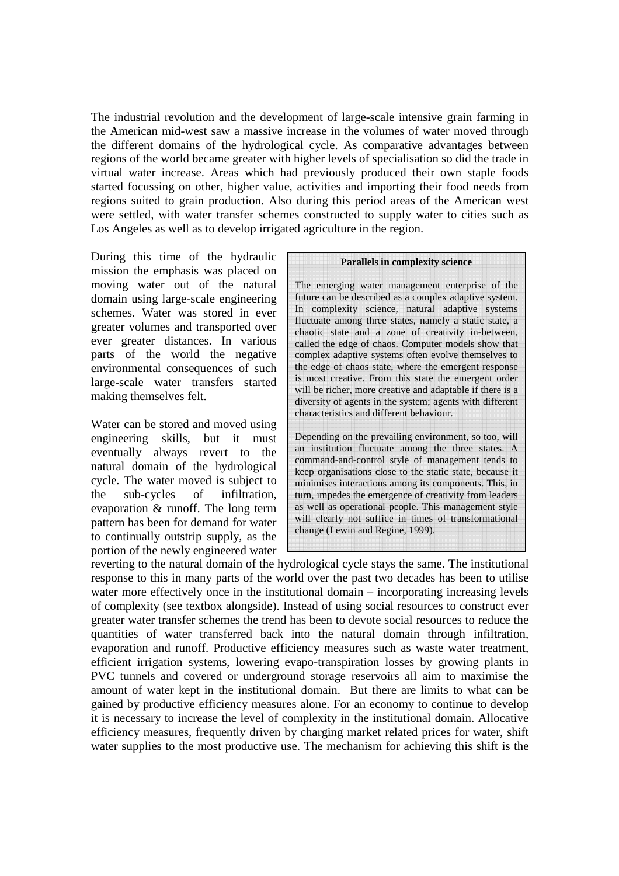The industrial revolution and the development of large-scale intensive grain farming in the American mid-west saw a massive increase in the volumes of water moved through the different domains of the hydrological cycle. As comparative advantages between regions of the world became greater with higher levels of specialisation so did the trade in virtual water increase. Areas which had previously produced their own staple foods started focussing on other, higher value, activities and importing their food needs from regions suited to grain production. Also during this period areas of the American west were settled, with water transfer schemes constructed to supply water to cities such as Los Angeles as well as to develop irrigated agriculture in the region.

During this time of the hydraulic mission the emphasis was placed on moving water out of the natural domain using large-scale engineering schemes. Water was stored in ever greater volumes and transported over ever greater distances. In various parts of the world the negative environmental consequences of such large-scale water transfers started making themselves felt.

Water can be stored and moved using engineering skills, but it must eventually always revert to the natural domain of the hydrological cycle. The water moved is subject to the sub-cycles of infiltration, evaporation & runoff. The long term pattern has been for demand for water to continually outstrip supply, as the portion of the newly engineered water

#### **Parallels in complexity science**

The emerging water management enterprise of the future can be described as a complex adaptive system. In complexity science, natural adaptive systems fluctuate among three states, namely a static state, a chaotic state and a zone of creativity in-between, called the edge of chaos. Computer models show that complex adaptive systems often evolve themselves to the edge of chaos state, where the emergent response is most creative. From this state the emergent order will be richer, more creative and adaptable if there is a diversity of agents in the system; agents with different characteristics and different behaviour.

Depending on the prevailing environment, so too, will an institution fluctuate among the three states. A command-and-control style of management tends to keep organisations close to the static state, because it minimises interactions among its components. This, in turn, impedes the emergence of creativity from leaders as well as operational people. This management style will clearly not suffice in times of transformational change (Lewin and Regine, 1999).

reverting to the natural domain of the hydrological cycle stays the same. The institutional response to this in many parts of the world over the past two decades has been to utilise water more effectively once in the institutional domain – incorporating increasing levels of complexity (see textbox alongside). Instead of using social resources to construct ever greater water transfer schemes the trend has been to devote social resources to reduce the quantities of water transferred back into the natural domain through infiltration, evaporation and runoff. Productive efficiency measures such as waste water treatment, efficient irrigation systems, lowering evapo-transpiration losses by growing plants in PVC tunnels and covered or underground storage reservoirs all aim to maximise the amount of water kept in the institutional domain. But there are limits to what can be gained by productive efficiency measures alone. For an economy to continue to develop it is necessary to increase the level of complexity in the institutional domain. Allocative efficiency measures, frequently driven by charging market related prices for water, shift water supplies to the most productive use. The mechanism for achieving this shift is the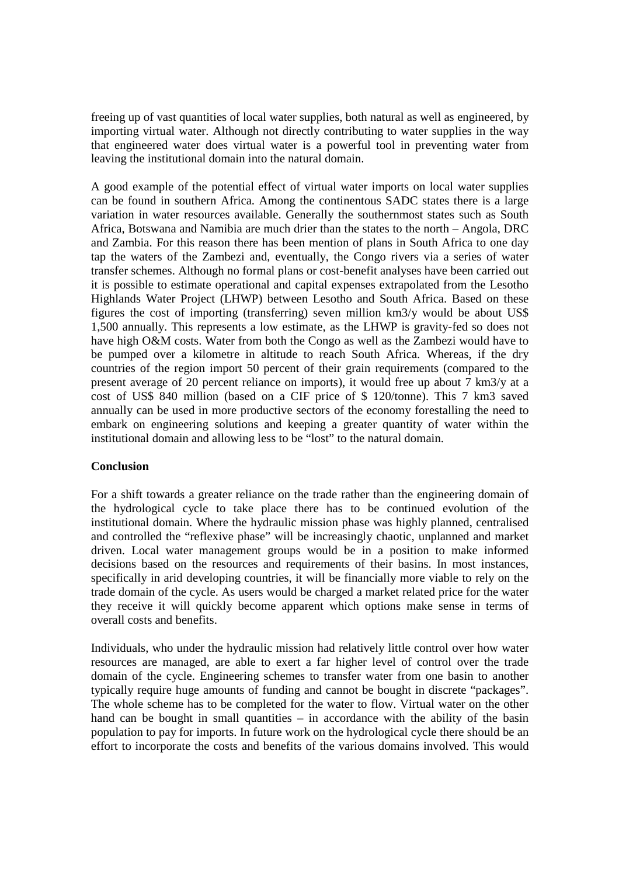freeing up of vast quantities of local water supplies, both natural as well as engineered, by importing virtual water. Although not directly contributing to water supplies in the way that engineered water does virtual water is a powerful tool in preventing water from leaving the institutional domain into the natural domain.

A good example of the potential effect of virtual water imports on local water supplies can be found in southern Africa. Among the continentous SADC states there is a large variation in water resources available. Generally the southernmost states such as South Africa, Botswana and Namibia are much drier than the states to the north – Angola, DRC and Zambia. For this reason there has been mention of plans in South Africa to one day tap the waters of the Zambezi and, eventually, the Congo rivers via a series of water transfer schemes. Although no formal plans or cost-benefit analyses have been carried out it is possible to estimate operational and capital expenses extrapolated from the Lesotho Highlands Water Project (LHWP) between Lesotho and South Africa. Based on these figures the cost of importing (transferring) seven million km3/y would be about US\$ 1,500 annually. This represents a low estimate, as the LHWP is gravity-fed so does not have high O&M costs. Water from both the Congo as well as the Zambezi would have to be pumped over a kilometre in altitude to reach South Africa. Whereas, if the dry countries of the region import 50 percent of their grain requirements (compared to the present average of 20 percent reliance on imports), it would free up about 7 km3/y at a cost of US\$ 840 million (based on a CIF price of \$ 120/tonne). This 7 km3 saved annually can be used in more productive sectors of the economy forestalling the need to embark on engineering solutions and keeping a greater quantity of water within the institutional domain and allowing less to be "lost" to the natural domain.

# **Conclusion**

For a shift towards a greater reliance on the trade rather than the engineering domain of the hydrological cycle to take place there has to be continued evolution of the institutional domain. Where the hydraulic mission phase was highly planned, centralised and controlled the "reflexive phase" will be increasingly chaotic, unplanned and market driven. Local water management groups would be in a position to make informed decisions based on the resources and requirements of their basins. In most instances, specifically in arid developing countries, it will be financially more viable to rely on the trade domain of the cycle. As users would be charged a market related price for the water they receive it will quickly become apparent which options make sense in terms of overall costs and benefits.

Individuals, who under the hydraulic mission had relatively little control over how water resources are managed, are able to exert a far higher level of control over the trade domain of the cycle. Engineering schemes to transfer water from one basin to another typically require huge amounts of funding and cannot be bought in discrete "packages". The whole scheme has to be completed for the water to flow. Virtual water on the other hand can be bought in small quantities – in accordance with the ability of the basin population to pay for imports. In future work on the hydrological cycle there should be an effort to incorporate the costs and benefits of the various domains involved. This would